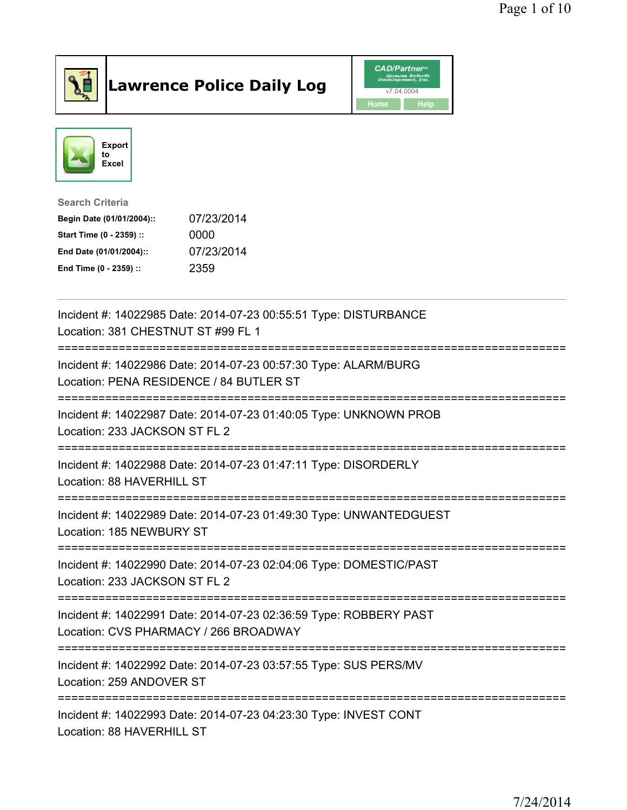

## Lawrence Police Daily Log **Daniel CAD/Partner**





Search Criteria Begin Date (01/01/2004):: 07/23/2014 Start Time (0 - 2359) :: 0000 End Date (01/01/2004):: 07/23/2014 End Time (0 - 2359) :: 2359

| Incident #: 14022985 Date: 2014-07-23 00:55:51 Type: DISTURBANCE<br>Location: 381 CHESTNUT ST #99 FL 1                                             |
|----------------------------------------------------------------------------------------------------------------------------------------------------|
| Incident #: 14022986 Date: 2014-07-23 00:57:30 Type: ALARM/BURG<br>Location: PENA RESIDENCE / 84 BUTLER ST<br>==================================== |
| Incident #: 14022987 Date: 2014-07-23 01:40:05 Type: UNKNOWN PROB<br>Location: 233 JACKSON ST FL 2<br>.----------------------------------          |
| Incident #: 14022988 Date: 2014-07-23 01:47:11 Type: DISORDERLY<br>Location: 88 HAVERHILL ST                                                       |
| Incident #: 14022989 Date: 2014-07-23 01:49:30 Type: UNWANTEDGUEST<br>Location: 185 NEWBURY ST                                                     |
| Incident #: 14022990 Date: 2014-07-23 02:04:06 Type: DOMESTIC/PAST<br>Location: 233 JACKSON ST FL 2                                                |
| Incident #: 14022991 Date: 2014-07-23 02:36:59 Type: ROBBERY PAST<br>Location: CVS PHARMACY / 266 BROADWAY<br>======================               |
| Incident #: 14022992 Date: 2014-07-23 03:57:55 Type: SUS PERS/MV<br>Location: 259 ANDOVER ST                                                       |
| Incident #: 14022993 Date: 2014-07-23 04:23:30 Type: INVEST CONT<br>Location: 88 HAVERHILL ST                                                      |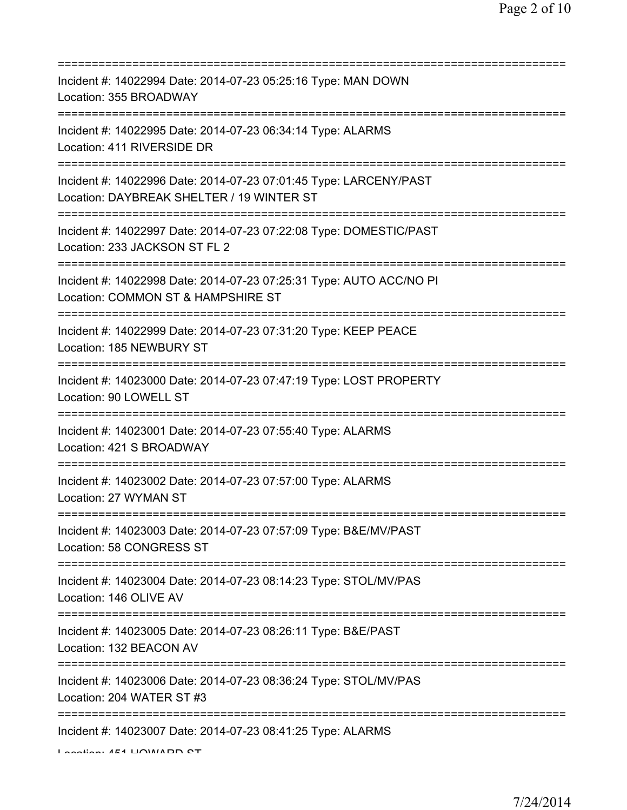| Incident #: 14022994 Date: 2014-07-23 05:25:16 Type: MAN DOWN<br>Location: 355 BROADWAY                                               |
|---------------------------------------------------------------------------------------------------------------------------------------|
| Incident #: 14022995 Date: 2014-07-23 06:34:14 Type: ALARMS<br>Location: 411 RIVERSIDE DR                                             |
| Incident #: 14022996 Date: 2014-07-23 07:01:45 Type: LARCENY/PAST<br>Location: DAYBREAK SHELTER / 19 WINTER ST                        |
| Incident #: 14022997 Date: 2014-07-23 07:22:08 Type: DOMESTIC/PAST<br>Location: 233 JACKSON ST FL 2                                   |
| Incident #: 14022998 Date: 2014-07-23 07:25:31 Type: AUTO ACC/NO PI<br>Location: COMMON ST & HAMPSHIRE ST                             |
| Incident #: 14022999 Date: 2014-07-23 07:31:20 Type: KEEP PEACE<br>Location: 185 NEWBURY ST                                           |
| Incident #: 14023000 Date: 2014-07-23 07:47:19 Type: LOST PROPERTY<br>Location: 90 LOWELL ST                                          |
| ==============================<br>Incident #: 14023001 Date: 2014-07-23 07:55:40 Type: ALARMS<br>Location: 421 S BROADWAY             |
| Incident #: 14023002 Date: 2014-07-23 07:57:00 Type: ALARMS<br>Location: 27 WYMAN ST                                                  |
| Incident #: 14023003 Date: 2014-07-23 07:57:09 Type: B&E/MV/PAST<br>Location: 58 CONGRESS ST                                          |
| Incident #: 14023004 Date: 2014-07-23 08:14:23 Type: STOL/MV/PAS<br>Location: 146 OLIVE AV                                            |
| Incident #: 14023005 Date: 2014-07-23 08:26:11 Type: B&E/PAST<br>Location: 132 BEACON AV                                              |
| :===================================<br>Incident #: 14023006 Date: 2014-07-23 08:36:24 Type: STOL/MV/PAS<br>Location: 204 WATER ST #3 |
| Incident #: 14023007 Date: 2014-07-23 08:41:25 Type: ALARMS<br>Location: AE4 LIOIAIADD CT                                             |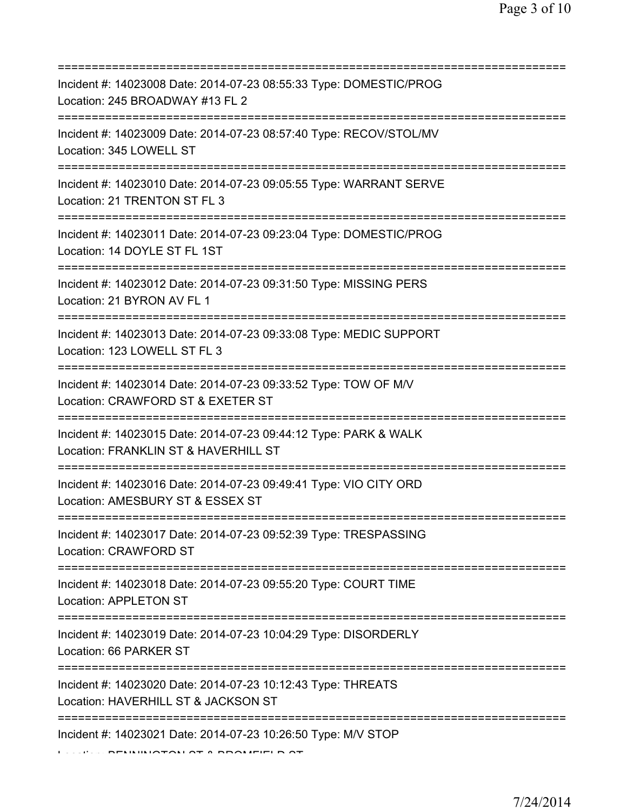| Incident #: 14023008 Date: 2014-07-23 08:55:33 Type: DOMESTIC/PROG<br>Location: 245 BROADWAY #13 FL 2<br>===========================     |
|------------------------------------------------------------------------------------------------------------------------------------------|
| Incident #: 14023009 Date: 2014-07-23 08:57:40 Type: RECOV/STOL/MV<br>Location: 345 LOWELL ST                                            |
| Incident #: 14023010 Date: 2014-07-23 09:05:55 Type: WARRANT SERVE<br>Location: 21 TRENTON ST FL 3                                       |
| Incident #: 14023011 Date: 2014-07-23 09:23:04 Type: DOMESTIC/PROG<br>Location: 14 DOYLE ST FL 1ST                                       |
| Incident #: 14023012 Date: 2014-07-23 09:31:50 Type: MISSING PERS<br>Location: 21 BYRON AV FL 1<br>===================================== |
| Incident #: 14023013 Date: 2014-07-23 09:33:08 Type: MEDIC SUPPORT<br>Location: 123 LOWELL ST FL 3<br>================================   |
| Incident #: 14023014 Date: 2014-07-23 09:33:52 Type: TOW OF M/V<br>Location: CRAWFORD ST & EXETER ST                                     |
| Incident #: 14023015 Date: 2014-07-23 09:44:12 Type: PARK & WALK<br>Location: FRANKLIN ST & HAVERHILL ST                                 |
| Incident #: 14023016 Date: 2014-07-23 09:49:41 Type: VIO CITY ORD<br>Location: AMESBURY ST & ESSEX ST                                    |
| Incident #: 14023017 Date: 2014-07-23 09:52:39 Type: TRESPASSING<br>Location: CRAWFORD ST                                                |
| Incident #: 14023018 Date: 2014-07-23 09:55:20 Type: COURT TIME<br>Location: APPLETON ST                                                 |
| Incident #: 14023019 Date: 2014-07-23 10:04:29 Type: DISORDERLY<br>Location: 66 PARKER ST                                                |
| Incident #: 14023020 Date: 2014-07-23 10:12:43 Type: THREATS<br>Location: HAVERHILL ST & JACKSON ST                                      |
| Incident #: 14023021 Date: 2014-07-23 10:26:50 Type: M/V STOP                                                                            |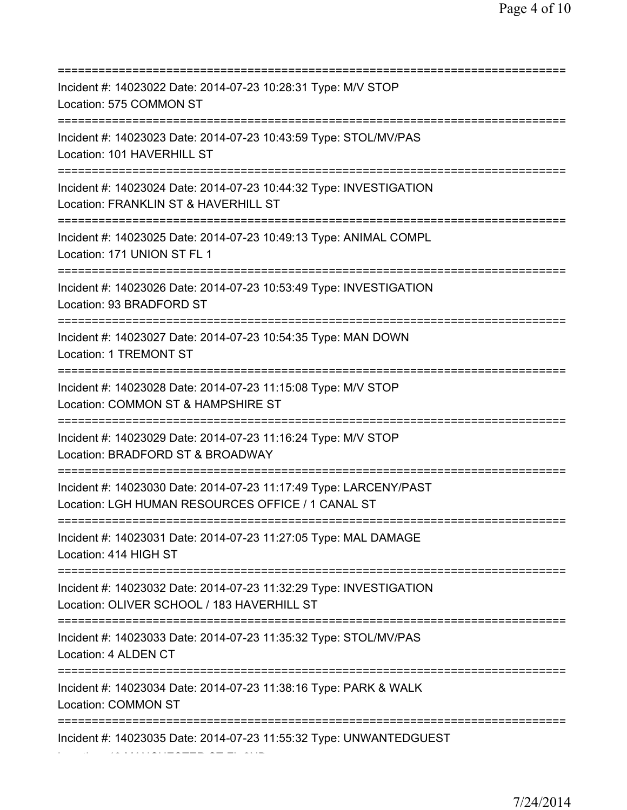| Incident #: 14023022 Date: 2014-07-23 10:28:31 Type: M/V STOP<br>Location: 575 COMMON ST                                               |
|----------------------------------------------------------------------------------------------------------------------------------------|
| Incident #: 14023023 Date: 2014-07-23 10:43:59 Type: STOL/MV/PAS<br>Location: 101 HAVERHILL ST                                         |
| Incident #: 14023024 Date: 2014-07-23 10:44:32 Type: INVESTIGATION<br>Location: FRANKLIN ST & HAVERHILL ST                             |
| Incident #: 14023025 Date: 2014-07-23 10:49:13 Type: ANIMAL COMPL<br>Location: 171 UNION ST FL 1                                       |
| Incident #: 14023026 Date: 2014-07-23 10:53:49 Type: INVESTIGATION<br>Location: 93 BRADFORD ST                                         |
| Incident #: 14023027 Date: 2014-07-23 10:54:35 Type: MAN DOWN<br>Location: 1 TREMONT ST<br>===================================         |
| Incident #: 14023028 Date: 2014-07-23 11:15:08 Type: M/V STOP<br>Location: COMMON ST & HAMPSHIRE ST<br>=============================== |
| Incident #: 14023029 Date: 2014-07-23 11:16:24 Type: M/V STOP<br>Location: BRADFORD ST & BROADWAY                                      |
| Incident #: 14023030 Date: 2014-07-23 11:17:49 Type: LARCENY/PAST<br>Location: LGH HUMAN RESOURCES OFFICE / 1 CANAL ST                 |
| Incident #: 14023031 Date: 2014-07-23 11:27:05 Type: MAL DAMAGE<br>Location: 414 HIGH ST                                               |
| Incident #: 14023032 Date: 2014-07-23 11:32:29 Type: INVESTIGATION<br>Location: OLIVER SCHOOL / 183 HAVERHILL ST                       |
| Incident #: 14023033 Date: 2014-07-23 11:35:32 Type: STOL/MV/PAS<br>Location: 4 ALDEN CT                                               |
| Incident #: 14023034 Date: 2014-07-23 11:38:16 Type: PARK & WALK<br>Location: COMMON ST                                                |
| Incident #: 14023035 Date: 2014-07-23 11:55:32 Type: UNWANTEDGUEST                                                                     |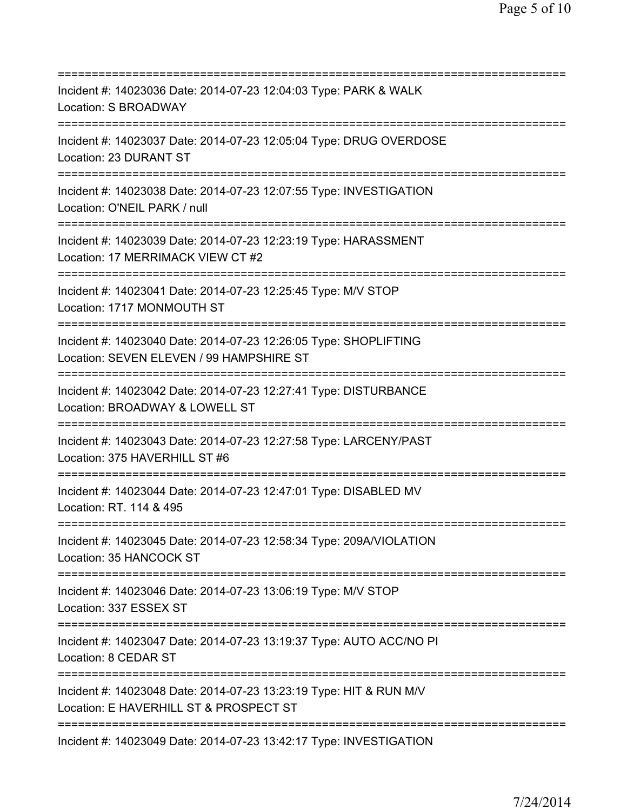| Incident #: 14023036 Date: 2014-07-23 12:04:03 Type: PARK & WALK<br>Location: S BROADWAY                                                         |
|--------------------------------------------------------------------------------------------------------------------------------------------------|
| Incident #: 14023037 Date: 2014-07-23 12:05:04 Type: DRUG OVERDOSE<br>Location: 23 DURANT ST                                                     |
| Incident #: 14023038 Date: 2014-07-23 12:07:55 Type: INVESTIGATION<br>Location: O'NEIL PARK / null                                               |
| Incident #: 14023039 Date: 2014-07-23 12:23:19 Type: HARASSMENT<br>Location: 17 MERRIMACK VIEW CT #2                                             |
| Incident #: 14023041 Date: 2014-07-23 12:25:45 Type: M/V STOP<br>Location: 1717 MONMOUTH ST<br>=====================================             |
| Incident #: 14023040 Date: 2014-07-23 12:26:05 Type: SHOPLIFTING<br>Location: SEVEN ELEVEN / 99 HAMPSHIRE ST<br>================================ |
| Incident #: 14023042 Date: 2014-07-23 12:27:41 Type: DISTURBANCE<br>Location: BROADWAY & LOWELL ST                                               |
| Incident #: 14023043 Date: 2014-07-23 12:27:58 Type: LARCENY/PAST<br>Location: 375 HAVERHILL ST #6<br>================================           |
| Incident #: 14023044 Date: 2014-07-23 12:47:01 Type: DISABLED MV<br>Location: RT. 114 & 495                                                      |
| Incident #: 14023045 Date: 2014-07-23 12:58:34 Type: 209A/VIOLATION<br>Location: 35 HANCOCK ST                                                   |
| Incident #: 14023046 Date: 2014-07-23 13:06:19 Type: M/V STOP<br>Location: 337 ESSEX ST<br>:===================================                  |
| Incident #: 14023047 Date: 2014-07-23 13:19:37 Type: AUTO ACC/NO PI<br>Location: 8 CEDAR ST<br>====================================              |
| Incident #: 14023048 Date: 2014-07-23 13:23:19 Type: HIT & RUN M/V<br>Location: E HAVERHILL ST & PROSPECT ST                                     |
| Incident #: 14023049 Date: 2014-07-23 13:42:17 Type: INVESTIGATION                                                                               |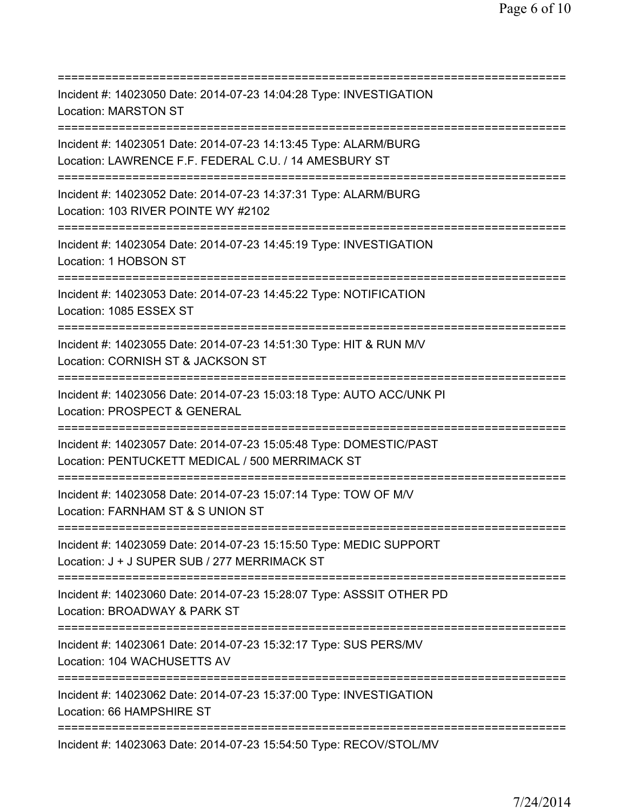| Incident #: 14023050 Date: 2014-07-23 14:04:28 Type: INVESTIGATION<br><b>Location: MARSTON ST</b><br>===========================             |
|----------------------------------------------------------------------------------------------------------------------------------------------|
| Incident #: 14023051 Date: 2014-07-23 14:13:45 Type: ALARM/BURG<br>Location: LAWRENCE F.F. FEDERAL C.U. / 14 AMESBURY ST                     |
| Incident #: 14023052 Date: 2014-07-23 14:37:31 Type: ALARM/BURG<br>Location: 103 RIVER POINTE WY #2102                                       |
| Incident #: 14023054 Date: 2014-07-23 14:45:19 Type: INVESTIGATION<br>Location: 1 HOBSON ST                                                  |
| Incident #: 14023053 Date: 2014-07-23 14:45:22 Type: NOTIFICATION<br>Location: 1085 ESSEX ST<br>=====================================        |
| Incident #: 14023055 Date: 2014-07-23 14:51:30 Type: HIT & RUN M/V<br>Location: CORNISH ST & JACKSON ST                                      |
| Incident #: 14023056 Date: 2014-07-23 15:03:18 Type: AUTO ACC/UNK PI<br>Location: PROSPECT & GENERAL<br>==============                       |
| Incident #: 14023057 Date: 2014-07-23 15:05:48 Type: DOMESTIC/PAST<br>Location: PENTUCKETT MEDICAL / 500 MERRIMACK ST                        |
| Incident #: 14023058 Date: 2014-07-23 15:07:14 Type: TOW OF M/V<br>Location: FARNHAM ST & S UNION ST                                         |
| Incident #: 14023059 Date: 2014-07-23 15:15:50 Type: MEDIC SUPPORT<br>Location: J + J SUPER SUB / 277 MERRIMACK ST                           |
| Incident #: 14023060 Date: 2014-07-23 15:28:07 Type: ASSSIT OTHER PD<br>Location: BROADWAY & PARK ST<br>==================================== |
| Incident #: 14023061 Date: 2014-07-23 15:32:17 Type: SUS PERS/MV<br>Location: 104 WACHUSETTS AV                                              |
| Incident #: 14023062 Date: 2014-07-23 15:37:00 Type: INVESTIGATION<br>Location: 66 HAMPSHIRE ST                                              |
| Incident #: 14023063 Date: 2014-07-23 15:54:50 Type: RECOV/STOL/MV                                                                           |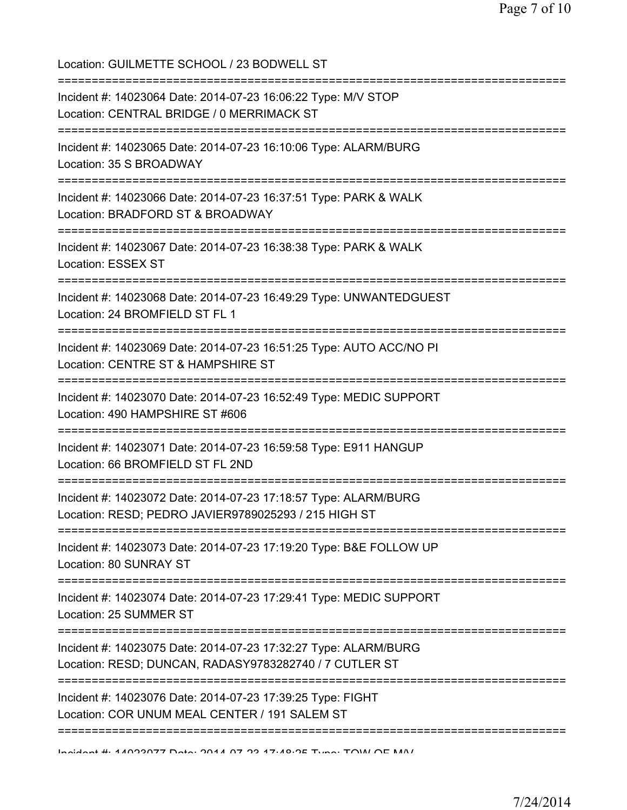Location: GUILMETTE SCHOOL / 23 BODWELL ST =========================================================================== Incident #: 14023064 Date: 2014-07-23 16:06:22 Type: M/V STOP Location: CENTRAL BRIDGE / 0 MERRIMACK ST =========================================================================== Incident #: 14023065 Date: 2014-07-23 16:10:06 Type: ALARM/BURG Location: 35 S BROADWAY =========================================================================== Incident #: 14023066 Date: 2014-07-23 16:37:51 Type: PARK & WALK Location: BRADFORD ST & BROADWAY =========================================================================== Incident #: 14023067 Date: 2014-07-23 16:38:38 Type: PARK & WALK Location: ESSEX ST =========================================================================== Incident #: 14023068 Date: 2014-07-23 16:49:29 Type: UNWANTEDGUEST Location: 24 BROMFIELD ST FL 1 =========================================================================== Incident #: 14023069 Date: 2014-07-23 16:51:25 Type: AUTO ACC/NO PI Location: CENTRE ST & HAMPSHIRE ST =========================================================================== Incident #: 14023070 Date: 2014-07-23 16:52:49 Type: MEDIC SUPPORT Location: 490 HAMPSHIRE ST #606 =========================================================================== Incident #: 14023071 Date: 2014-07-23 16:59:58 Type: E911 HANGUP Location: 66 BROMFIELD ST FL 2ND =========================================================================== Incident #: 14023072 Date: 2014-07-23 17:18:57 Type: ALARM/BURG Location: RESD; PEDRO JAVIER9789025293 / 215 HIGH ST =========================================================================== Incident #: 14023073 Date: 2014-07-23 17:19:20 Type: B&E FOLLOW UP Location: 80 SUNRAY ST =========================================================================== Incident #: 14023074 Date: 2014-07-23 17:29:41 Type: MEDIC SUPPORT Location: 25 SUMMER ST =========================================================================== Incident #: 14023075 Date: 2014-07-23 17:32:27 Type: ALARM/BURG Location: RESD; DUNCAN, RADASY9783282740 / 7 CUTLER ST =========================================================================== Incident #: 14023076 Date: 2014-07-23 17:39:25 Type: FIGHT Location: COR UNUM MEAL CENTER / 191 SALEM ST ===========================================================================

Incident #: 14023077 Date: 2014 07 23 17:48:25 Type: TOW OF M/V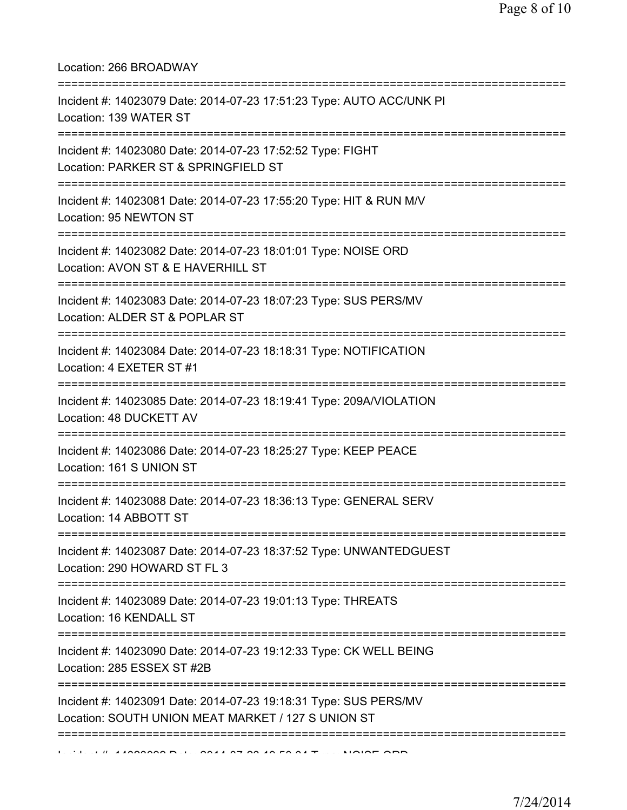Location: 266 BROADWAY

| Incident #: 14023079 Date: 2014-07-23 17:51:23 Type: AUTO ACC/UNK PI<br>Location: 139 WATER ST                                   |
|----------------------------------------------------------------------------------------------------------------------------------|
| ==================<br>Incident #: 14023080 Date: 2014-07-23 17:52:52 Type: FIGHT<br>Location: PARKER ST & SPRINGFIELD ST         |
| Incident #: 14023081 Date: 2014-07-23 17:55:20 Type: HIT & RUN M/V<br>Location: 95 NEWTON ST                                     |
| Incident #: 14023082 Date: 2014-07-23 18:01:01 Type: NOISE ORD<br>Location: AVON ST & E HAVERHILL ST<br>.----------------------- |
| Incident #: 14023083 Date: 2014-07-23 18:07:23 Type: SUS PERS/MV<br>Location: ALDER ST & POPLAR ST                               |
| Incident #: 14023084 Date: 2014-07-23 18:18:31 Type: NOTIFICATION<br>Location: 4 EXETER ST #1                                    |
| Incident #: 14023085 Date: 2014-07-23 18:19:41 Type: 209A/VIOLATION<br>Location: 48 DUCKETT AV                                   |
| Incident #: 14023086 Date: 2014-07-23 18:25:27 Type: KEEP PEACE<br>Location: 161 S UNION ST                                      |
| Incident #: 14023088 Date: 2014-07-23 18:36:13 Type: GENERAL SERV<br>Location: 14 ABBOTT ST                                      |
| Incident #: 14023087 Date: 2014-07-23 18:37:52 Type: UNWANTEDGUEST<br>Location: 290 HOWARD ST FL 3                               |
| Incident #: 14023089 Date: 2014-07-23 19:01:13 Type: THREATS<br>Location: 16 KENDALL ST                                          |
| Incident #: 14023090 Date: 2014-07-23 19:12:33 Type: CK WELL BEING<br>Location: 285 ESSEX ST #2B                                 |
| Incident #: 14023091 Date: 2014-07-23 19:18:31 Type: SUS PERS/MV<br>Location: SOUTH UNION MEAT MARKET / 127 S UNION ST           |
|                                                                                                                                  |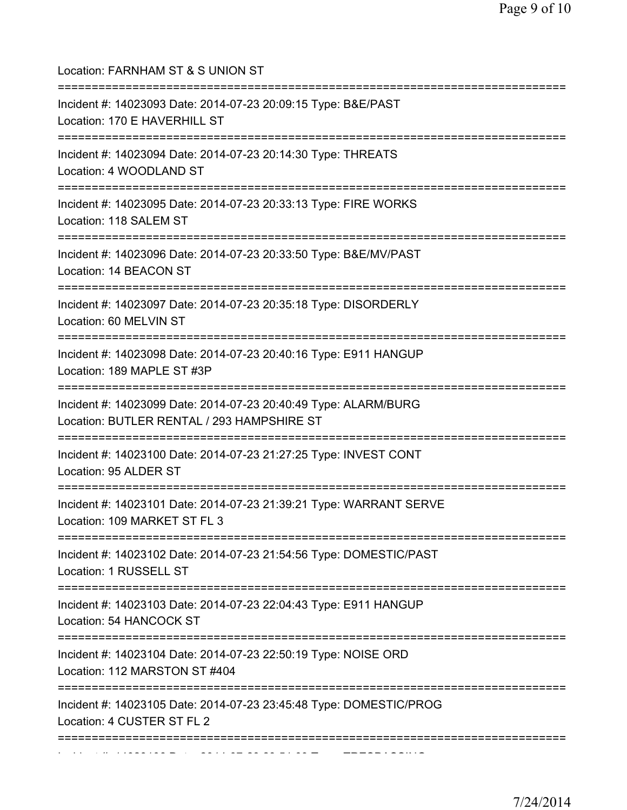| Location: FARNHAM ST & S UNION ST                                                                                                      |
|----------------------------------------------------------------------------------------------------------------------------------------|
| Incident #: 14023093 Date: 2014-07-23 20:09:15 Type: B&E/PAST<br>Location: 170 E HAVERHILL ST<br>===================================== |
| Incident #: 14023094 Date: 2014-07-23 20:14:30 Type: THREATS<br>Location: 4 WOODLAND ST<br>======================                      |
| Incident #: 14023095 Date: 2014-07-23 20:33:13 Type: FIRE WORKS<br>Location: 118 SALEM ST                                              |
| Incident #: 14023096 Date: 2014-07-23 20:33:50 Type: B&E/MV/PAST<br>Location: 14 BEACON ST                                             |
| Incident #: 14023097 Date: 2014-07-23 20:35:18 Type: DISORDERLY<br>Location: 60 MELVIN ST                                              |
| Incident #: 14023098 Date: 2014-07-23 20:40:16 Type: E911 HANGUP<br>Location: 189 MAPLE ST #3P                                         |
| Incident #: 14023099 Date: 2014-07-23 20:40:49 Type: ALARM/BURG<br>Location: BUTLER RENTAL / 293 HAMPSHIRE ST                          |
| Incident #: 14023100 Date: 2014-07-23 21:27:25 Type: INVEST CONT<br>Location: 95 ALDER ST                                              |
| Incident #: 14023101 Date: 2014-07-23 21:39:21 Type: WARRANT SERVE<br>Location: 109 MARKET ST FL 3                                     |
| Incident #: 14023102 Date: 2014-07-23 21:54:56 Type: DOMESTIC/PAST<br>Location: 1 RUSSELL ST                                           |
| Incident #: 14023103 Date: 2014-07-23 22:04:43 Type: E911 HANGUP<br>Location: 54 HANCOCK ST                                            |
| Incident #: 14023104 Date: 2014-07-23 22:50:19 Type: NOISE ORD<br>Location: 112 MARSTON ST #404                                        |
| Incident #: 14023105 Date: 2014-07-23 23:45:48 Type: DOMESTIC/PROG<br>Location: 4 CUSTER ST FL 2                                       |
|                                                                                                                                        |